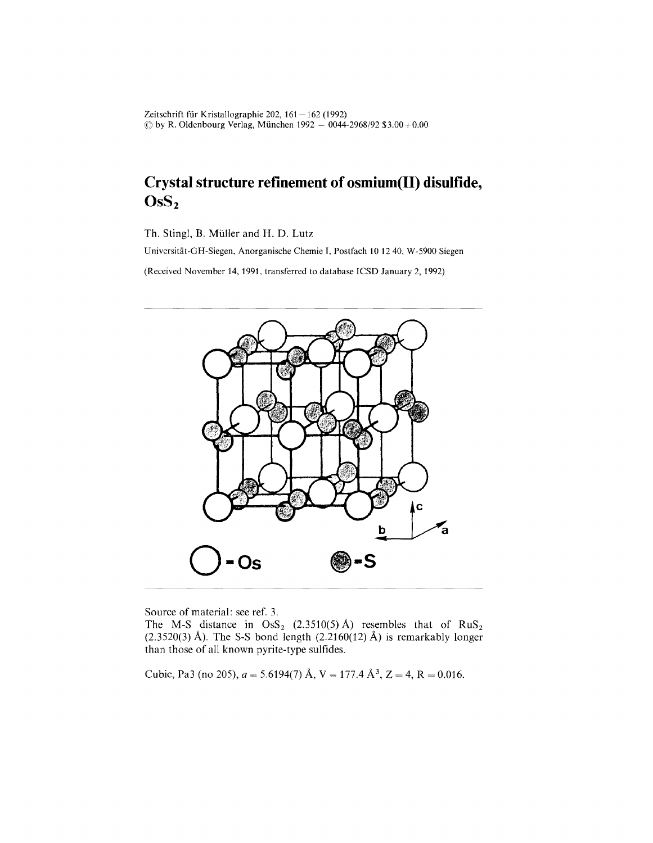Zeitschrift für Kristallographie 202,  $161-162$  (1992)  $\circled{c}$  by R. Oldenbourg Verlag, München 1992 – 0044-2968/92 \$3.00+0.

## **Crystal structure refinement of osmium(ll} disulfide, Os82**

Th. Stingl, B. Müller and H. D. Lutz

Universitiit-GH-Siegen, Anorganische Chemie I, Postfach 10 1240, W-5900 Siegen

(Received November 14, 1991, transferred to database ICSD January 2, 1992)



Source of material: see ref. 3.

The M-S distance in  $\text{OsS}_2$  (2.3510(5) Å) resembles that of  $\text{RuS}_2$  $(2.3520(3)$  Å). The S-S bond length  $(2.2160(12)$  Å) is remarkably longer than those of all known pyrite-type sulfides.

Cubic, Pa3 (no 205),  $a = 5.6194(7)$  Å,  $V = 177.4$  Å<sup>3</sup>,  $Z = 4$ ,  $R = 0.016$ .